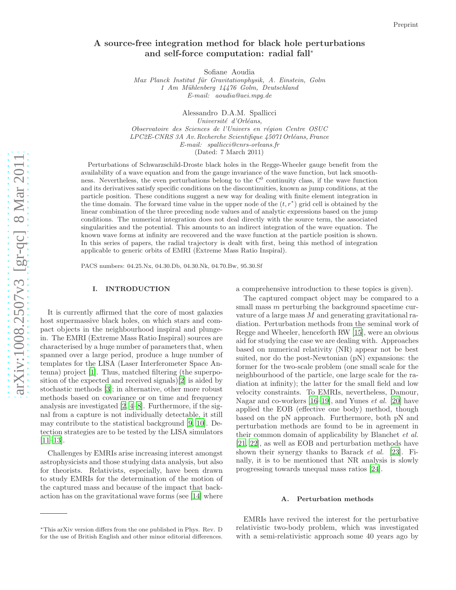## A source-free integration method for black hole perturbations and self-force computation: radial fall<sup>\*</sup>

Sofiane Aoudia

*Max Planck Institut f¨ur Gravitationphysik, A. Einstein, Golm 1 Am M¨uhlenberg 14476 Golm, Deutschland E-mail: aoudia@aei.mpg.de*

Alessandro D.A.M. Spallicci *Universit´e d'Orl´eans, Observatoire des Sciences de l'Univers en r´egion Centre OSUC LPC2E-CNRS 3A Av. Recherche Scientifique 45071Orl´eans, France E-mail: spallicci@cnrs-orleans.fr* (Dated: 7 March 2011)

Perturbations of Schwarzschild-Droste black holes in the Regge-Wheeler gauge benefit from the availability of a wave equation and from the gauge invariance of the wave function, but lack smoothness. Nevertheless, the even perturbations belong to the  $C^0$  continuity class, if the wave function and its derivatives satisfy specific conditions on the discontinuities, known as jump conditions, at the particle position. These conditions suggest a new way for dealing with finite element integration in the time domain. The forward time value in the upper node of the  $(t, r^*)$  grid cell is obtained by the linear combination of the three preceding node values and of analytic expressions based on the jump conditions. The numerical integration does not deal directly with the source term, the associated singularities and the potential. This amounts to an indirect integration of the wave equation. The known wave forms at infinity are recovered and the wave function at the particle position is shown. In this series of papers, the radial trajectory is dealt with first, being this method of integration applicable to generic orbits of EMRI (Extreme Mass Ratio Inspiral).

PACS numbers: 04.25.Nx, 04.30.Db, 04.30.Nk, 04.70.Bw, 95.30.Sf

#### I. INTRODUCTION

It is currently affirmed that the core of most galaxies host supermassive black holes, on which stars and compact objects in the neighbourhood inspiral and plungein. The EMRI (Extreme Mass Ratio Inspiral) sources are characterised by a huge number of parameters that, when spanned over a large period, produce a huge number of templates for the LISA (Laser Interferometer Space Antenna) project [\[1\]](#page-10-0). Thus, matched filtering (the superposition of the expected and received signals)[\[2](#page-10-1)] is aided by stochastic methods [\[3\]](#page-10-2); in alternative, other more robust methods based on covariance or on time and frequency analysis are investigated [\[2,](#page-10-1) [4](#page-10-3)[–8](#page-10-4)]. Furthermore, if the signal from a capture is not individually detectable, it still may contribute to the statistical background [\[9](#page-10-5), [10\]](#page-10-6). Detection strategies are to be tested by the LISA simulators [\[11](#page-10-7)[–13\]](#page-10-8).

Challenges by EMRIs arise increasing interest amongst astrophysicists and those studying data analysis, but also for theorists. Relativists, especially, have been drawn to study EMRIs for the determination of the motion of the captured mass and because of the impact that backaction has on the gravitational wave forms (see [\[14\]](#page-10-9) where

a comprehensive introduction to these topics is given).

The captured compact object may be compared to a small mass *m* perturbing the background spacetime curvature of a large mass M and generating gravitational radiation. Perturbation methods from the seminal work of Regge and Wheeler, henceforth RW [\[15\]](#page-10-10), were an obvious aid for studying the case we are dealing with. Approaches based on numerical relativity (NR) appear not be best suited, nor do the post-Newtonian (pN) expansions: the former for the two-scale problem (one small scale for the neighbourhood of the particle, one large scale for the radiation at infinity); the latter for the small field and low velocity constraints. To EMRIs, nevertheless, Damour, Nagar and co-workers [\[16](#page-10-11)[–19\]](#page-10-12), and Yunes et al. [\[20\]](#page-10-13) have applied the EOB (effective one body) method, though based on the pN approach. Furthermore, both pN and perturbation methods are found to be in agreement in their common domain of applicability by Blanchet et al. [\[21,](#page-11-0) [22\]](#page-11-1), as well as EOB and perturbation methods have shown their synergy thanks to Barack et al. [\[23](#page-11-2)]. Finally, it is to be mentioned that NR analysis is slowly progressing towards unequal mass ratios [\[24\]](#page-11-3).

### A. Perturbation methods

EMRIs have revived the interest for the perturbative relativistic two-body problem, which was investigated with a semi-relativistic approach some 40 years ago by

<sup>∗</sup>This arXiv version differs from the one published in Phys. Rev. D for the use of British English and other minor editorial differences.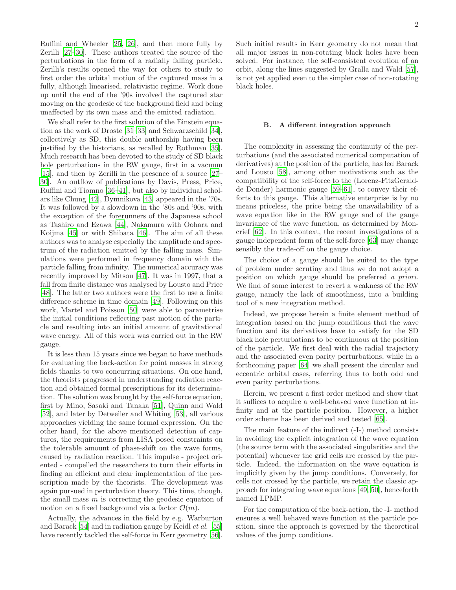Ruffini and Wheeler [\[25](#page-11-4), [26\]](#page-11-5), and then more fully by Zerilli [\[27](#page-11-6)[–30](#page-11-7)]. These authors treated the source of the perturbations in the form of a radially falling particle. Zerilli's results opened the way for others to study to first order the orbital motion of the captured mass in a fully, although linearised, relativistic regime. Work done up until the end of the '90s involved the captured star moving on the geodesic of the background field and being unaffected by its own mass and the emitted radiation.

We shall refer to the first solution of the Einstein equation as the work of Droste [\[31](#page-11-8)[–33\]](#page-11-9) and Schwarzschild [\[34\]](#page-11-10), collectively as SD, this double authorship having been justified by the historians, as recalled by Rothman [\[35\]](#page-11-11). Much research has been devoted to the study of SD black hole perturbations in the RW gauge, first in a vacuum [\[15\]](#page-10-10), and then by Zerilli in the presence of a source [\[27](#page-11-6)– [30\]](#page-11-7). An outflow of publications by Davis, Press, Price, Ruffini and Tiomno [\[36](#page-11-12)[–41](#page-11-13)], but also by individual scholars like Chung [\[42](#page-11-14)], Dymnikova [\[43](#page-11-15)] appeared in the '70s. It was followed by a slowdown in the '80s and '90s, with the exception of the forerunners of the Japanese school as Tashiro and Ezawa [\[44\]](#page-11-16), Nakamura with Oohara and Koijma [\[45\]](#page-11-17) or with Shibata [\[46](#page-11-18)]. The aim of all these authors was to analyse especially the amplitude and spectrum of the radiation emitted by the falling mass. Simulations were performed in frequency domain with the particle falling from infinity. The numerical accuracy was recently improved by Mitsou [\[47](#page-11-19)]. It was in 1997, that a fall from finite distance was analysed by Lousto and Price [\[48\]](#page-11-20). The latter two authors were the first to use a finite difference scheme in time domain [\[49\]](#page-11-21). Following on this work, Martel and Poisson [\[50\]](#page-11-22) were able to parametrise the initial conditions reflecting past motion of the particle and resulting into an initial amount of gravitational wave energy. All of this work was carried out in the RW gauge.

It is less than 15 years since we began to have methods for evaluating the back-action for point masses in strong fields thanks to two concurring situations. On one hand, the theorists progressed in understanding radiation reaction and obtained formal prescriptions for its determination. The solution was brought by the self-force equation, first by Mino, Sasaki and Tanaka [\[51\]](#page-11-23), Quinn and Wald [\[52\]](#page-11-24), and later by Detweiler and Whiting [\[53\]](#page-11-25), all various approaches yielding the same formal expression. On the other hand, for the above mentioned detection of captures, the requirements from LISA posed constraints on the tolerable amount of phase-shift on the wave forms, caused by radiation reaction. This impulse - project oriented - compelled the researchers to turn their efforts in finding an efficient and clear implementation of the prescription made by the theorists. The development was again pursued in perturbation theory. This time, though, the small mass  $m$  is correcting the geodesic equation of motion on a fixed background via a factor  $\mathcal{O}(m)$ .

Actually, the advances in the field by e.g. Warburton and Barack [\[54\]](#page-11-26) and in radiation gauge by Keidl et al. [\[55](#page-11-27)] have recently tackled the self-force in Kerr geometry [\[56\]](#page-11-28).

Such initial results in Kerr geometry do not mean that all major issues in non-rotating black holes have been solved. For instance, the self-consistent evolution of an orbit, along the lines suggested by Gralla and Wald [\[57\]](#page-11-29), is not yet applied even to the simpler case of non-rotating black holes.

#### B. A different integration approach

The complexity in assessing the continuity of the perturbations (and the associated numerical computation of derivatives) at the position of the particle, has led Barack and Lousto [\[58\]](#page-11-30), among other motivations such as the compatibility of the self-force to the (Lorenz-FitzGeraldde Donder) harmonic gauge [\[59–](#page-11-31)[61\]](#page-11-32), to convey their efforts to this gauge. This alternative enterprise is by no means priceless, the price being the unavailability of a wave equation like in the RW gauge and of the gauge invariance of the wave function, as determined by Moncrief [\[62](#page-11-33)]. In this context, the recent investigations of a gauge independent form of the self-force [\[63\]](#page-11-34) may change sensibly the trade-off on the gauge choice.

The choice of a gauge should be suited to the type of problem under scrutiny and thus we do not adopt a position on which gauge should be preferred a priori. We find of some interest to revert a weakness of the RW gauge, namely the lack of smoothness, into a building tool of a new integration method.

Indeed, we propose herein a finite element method of integration based on the jump conditions that the wave function and its derivatives have to satisfy for the SD black hole perturbations to be continuous at the position of the particle. We first deal with the radial trajectory and the associated even parity perturbations, while in a forthcoming paper [\[64\]](#page-11-35) we shall present the circular and eccentric orbital cases, referring thus to both odd and even parity perturbations.

Herein, we present a first order method and show that it suffices to acquire a well-behaved wave function at infinity and at the particle position. However, a higher order scheme has been derived and tested [\[65\]](#page-11-36).

The main feature of the indirect (-I-) method consists in avoiding the explicit integration of the wave equation (the source term with the associated singularities and the potential) whenever the grid cells are crossed by the particle. Indeed, the information on the wave equation is implicitly given by the jump conditions. Conversely, for cells not crossed by the particle, we retain the classic approach for integrating wave equations [\[49,](#page-11-21) [50](#page-11-22)], henceforth named LPMP.

For the computation of the back-action, the -I- method ensures a well behaved wave function at the particle position, since the approach is governed by the theoretical values of the jump conditions.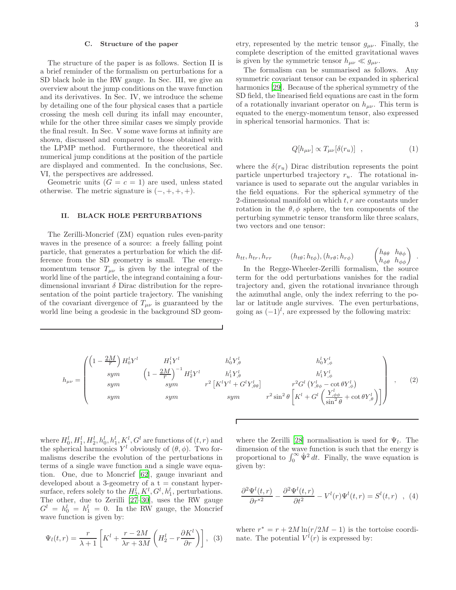#### C. Structure of the paper

The structure of the paper is as follows. Section II is a brief reminder of the formalism on perturbations for a SD black hole in the RW gauge. In Sec. III, we give an overview about the jump conditions on the wave function and its derivatives. In Sec. IV, we introduce the scheme by detailing one of the four physical cases that a particle crossing the mesh cell during its infall may encounter, while for the other three similar cases we simply provide the final result. In Sec. V some wave forms at infinity are shown, discussed and compared to those obtained with the LPMP method. Furthermore, the theoretical and numerical jump conditions at the position of the particle are displayed and commented. In the conclusions, Sec. VI, the perspectives are addressed.

Geometric units  $(G = c = 1)$  are used, unless stated otherwise. The metric signature is  $(-, +, +, +)$ .

#### II. BLACK HOLE PERTURBATIONS

The Zerilli-Moncrief (ZM) equation rules even-parity waves in the presence of a source: a freely falling point particle, that generates a perturbation for which the difference from the SD geometry is small. The energymomentum tensor  $T_{\mu\nu}$  is given by the integral of the world line of the particle, the integrand containing a fourdimensional invariant  $\delta$  Dirac distribution for the representation of the point particle trajectory. The vanishing of the covariant divergence of  $T_{\mu\nu}$  is guaranteed by the world line being a geodesic in the background SD geom-

etry, represented by the metric tensor  $g_{\mu\nu}$ . Finally, the complete description of the emitted gravitational waves is given by the symmetric tensor  $h_{\mu\nu} \ll g_{\mu\nu}$ .

The formalism can be summarised as follows. Any symmetric covariant tensor can be expanded in spherical harmonics [\[29\]](#page-11-37). Because of the spherical symmetry of the SD field, the linearised field equations are cast in the form of a rotationally invariant operator on  $h_{\mu\nu}$ . This term is equated to the energy-momentum tensor, also expressed in spherical tensorial harmonics. That is:

$$
Q[h_{\mu\nu}] \propto T_{\mu\nu}[\delta(r_u)] \quad , \tag{1}
$$

 $\lambda$ 

where the  $\delta(r_u)$  Dirac distribution represents the point particle unperturbed trajectory  $r_u$ . The rotational invariance is used to separate out the angular variables in the field equations. For the spherical symmetry of the 2-dimensional manifold on which  $t, r$  are constants under rotation in the  $\theta$ ,  $\phi$  sphere, the ten components of the perturbing symmetric tensor transform like three scalars, two vectors and one tensor:

$$
h_{tt}, h_{tr}, h_{rr} \qquad (h_{t\theta}; h_{t\phi}), (h_{r\theta}; h_{r\phi}) \qquad \begin{pmatrix} h_{\theta\theta} & h_{\theta\phi} \\ h_{\phi\theta} & h_{\phi\phi} \end{pmatrix}.
$$

In the Regge-Wheeler-Zerilli formalism, the source term for the odd perturbations vanishes for the radial trajectory and, given the rotational invariance through the azimuthal angle, only the index referring to the polar or latitude angle survives. The even perturbations, going as  $(-1)^l$ , are expressed by the following matrix:

$$
h_{\mu\nu} = \begin{pmatrix} \left(1 - \frac{2M}{r}\right)H_0^l Y^l & H_1^l Y^l & h_0^l Y^l_{,\theta} & h_0^l Y^l_{,\phi} \\ \text{sym} & \left(1 - \frac{2M}{r}\right)^{-1}H_2^l Y^l & h_1^l Y^l_{,\theta} & h_1^l Y^l_{,\phi} \\ \text{sym} & \text{sym} & r^2 \left[K^l Y^l + G^l Y^l_{,\theta\theta}\right] & r^2 G^l \left(Y^l_{,\theta\phi} - \cot \theta Y^l_{,\phi}\right) \\ \text{sym} & \text{sym} & r^2 \sin^2 \theta \left[K^l + G^l \left(\frac{Y^l_{,\phi\phi}}{\sin^2 \theta} + \cot \theta Y^l_{,\theta}\right)\right] \end{pmatrix} , \quad (2)
$$

where  $H_0^l$ ,  $H_1^l$ ,  $H_2^l$ ,  $h_0^l$ ,  $h_1^l$ ,  $K^l$ ,  $G^l$  are functions of  $(t, r)$  and the spherical harmonics  $Y^l$  obviously of  $(\theta, \phi)$ . Two formalisms describe the evolution of the perturbations in terms of a single wave function and a single wave equation. One, due to Moncrief [\[62\]](#page-11-33), gauge invariant and developed about a 3-geometry of a  $t = constant$  hypersurface, refers solely to the  $H_2^l, K^l, G^l, h_1^l$ , perturbations. The other, due to Zerilli [\[27](#page-11-6)[–30\]](#page-11-7), uses the RW gauge  $G^l = h_0^l = h_1^l = 0$ . In the RW gauge, the Moncrief wave function is given by:

$$
\Psi_l(t,r) = \frac{r}{\lambda + 1} \left[ K^l + \frac{r - 2M}{\lambda r + 3M} \left( H_2^l - r \frac{\partial K^l}{\partial r} \right) \right], \tag{3}
$$

where the Zerilli [\[28](#page-11-38)] normalisation is used for  $\Psi_l$ . The dimension of the wave function is such that the energy is<br>proportional to  $\int_0^\infty \dot{\Psi}^2 dt$ . Finally, the wave equation is given by:

<span id="page-2-0"></span>
$$
\frac{\partial^2 \Psi^l(t,r)}{\partial r^{*2}} - \frac{\partial^2 \Psi^l(t,r)}{\partial t^2} - V^l(r)\Psi^l(t,r) = S^l(t,r) \quad , \tag{4}
$$

where  $r^* = r + 2M \ln(r/2M - 1)$  is the tortoise coordinate. The potential  $V^l(r)$  is expressed by: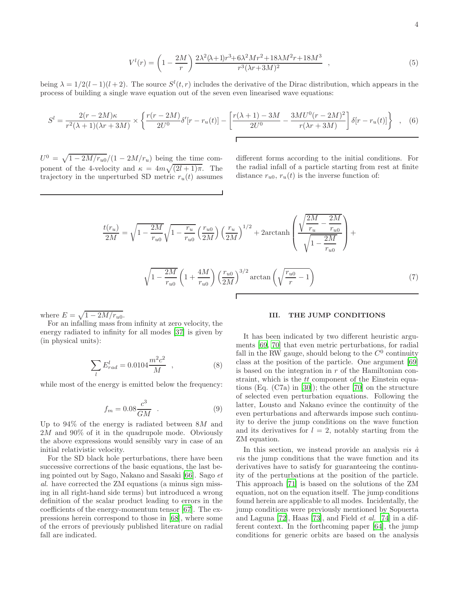$$
V^{l}(r) = \left(1 - \frac{2M}{r}\right) \frac{2\lambda^{2}(\lambda + 1)r^{3} + 6\lambda^{2}Mr^{2} + 18\lambda M^{2}r + 18M^{3}}{r^{3}(\lambda r + 3M)^{2}} ,\qquad (5)
$$

being  $\lambda = 1/2(l-1)(l+2)$ . The source  $S^{l}(t, r)$  includes the derivative of the Dirac distribution, which appears in the process of building a single wave equation out of the seven even linearised wave equations:

$$
S^{l} = \frac{2(r - 2M)\kappa}{r^{2}(\lambda + 1)(\lambda r + 3M)} \times \left\{ \frac{r(r - 2M)}{2U^{0}} \delta'[r - r_{u}(t)] - \left[ \frac{r(\lambda + 1) - 3M}{2U^{0}} - \frac{3MU^{0}(r - 2M)^{2}}{r(\lambda r + 3M)} \right] \delta[r - r_{u}(t)] \right\} , \quad (6)
$$

 $U^0 = \sqrt{1 - 2M/r_{u0}}/(1 - 2M/r_u)$  being the time component of the 4-velocity and  $\kappa = 4m\sqrt{(2l+1)\pi}$ . The trajectory in the unperturbed SD metric  $r_u(t)$  assumes different forms according to the initial conditions. For the radial infall of a particle starting from rest at finite distance  $r_{u0}$ ,  $r_u(t)$  is the inverse function of:

$$
\frac{t(r_u)}{2M} = \sqrt{1 - \frac{2M}{r_{u0}}}\sqrt{1 - \frac{r_u}{r_{u0}}} \left(\frac{r_{u0}}{2M}\right) \left(\frac{r_u}{2M}\right)^{1/2} + 2\arctanh\left(\frac{\sqrt{\frac{2M}{r_u} - \frac{2M}{r_{u0}}}}{\sqrt{1 - \frac{2M}{r_{u0}}}}\right) + \sqrt{1 - \frac{2M}{r_{u0}}} \left(1 + \frac{4M}{r_{u0}}\right) \left(\frac{r_{u0}}{2M}\right)^{3/2} \arctan\left(\sqrt{\frac{r_{u0}}{r} - 1}\right)
$$
\n(7)

where  $E = \sqrt{1 - 2M/r_{u0}}$ .

For an infalling mass from infinity at zero velocity, the energy radiated to infinity for all modes [\[37\]](#page-11-39) is given by (in physical units):

$$
\sum_{l} E_{rad}^{l} = 0.0104 \frac{m^2 c^2}{M} , \qquad (8)
$$

while most of the energy is emitted below the frequency:

$$
f_m = 0.08 \frac{c^3}{GM} \quad . \tag{9}
$$

Up to  $94\%$  of the energy is radiated between  $8M$  and  $2M$  and  $90\%$  of it in the quadrupole mode. Obviously the above expressions would sensibly vary in case of an initial relativistic velocity.

For the SD black hole perturbations, there have been successive corrections of the basic equations, the last being pointed out by Sago, Nakano and Sasaki [\[66](#page-11-40)]. Sago et al. have corrected the ZM equations (a minus sign missing in all right-hand side terms) but introduced a wrong definition of the scalar product leading to errors in the coefficients of the energy-momentum tensor [\[67\]](#page-11-41). The expressions herein correspond to those in [\[68\]](#page-11-42), where some of the errors of previously published literature on radial fall are indicated.

#### III. THE JUMP CONDITIONS

It has been indicated by two different heuristic arguments [\[69,](#page-11-43) [70\]](#page-11-44) that even metric perturbations, for radial fall in the RW gauge, should belong to the  $C^0$  continuity class at the position of the particle. One argument [\[69](#page-11-43)] is based on the integration in  $r$  of the Hamiltonian constraint, which is the tt component of the Einstein equations (Eq. (C7a) in [\[30\]](#page-11-7)); the other [\[70\]](#page-11-44) on the structure of selected even perturbation equations. Following the latter, Lousto and Nakano evince the continuity of the even perturbations and afterwards impose such continuity to derive the jump conditions on the wave function and its derivatives for  $l = 2$ , notably starting from the ZM equation.

In this section, we instead provide an analysis *vis*  $\dot{a}$ vis the jump conditions that the wave function and its derivatives have to satisfy for guaranteeing the continuity of the perturbations at the position of the particle. This approach [\[71\]](#page-11-45) is based on the solutions of the ZM equation, not on the equation itself. The jump conditions found herein are applicable to all modes. Incidentally, the jump conditions were previously mentioned by Sopuerta and Laguna [\[72](#page-11-46)], Haas [\[73](#page-11-47)], and Field et al. [\[74](#page-11-48)] in a different context. In the forthcoming paper [\[64\]](#page-11-35), the jump conditions for generic orbits are based on the analysis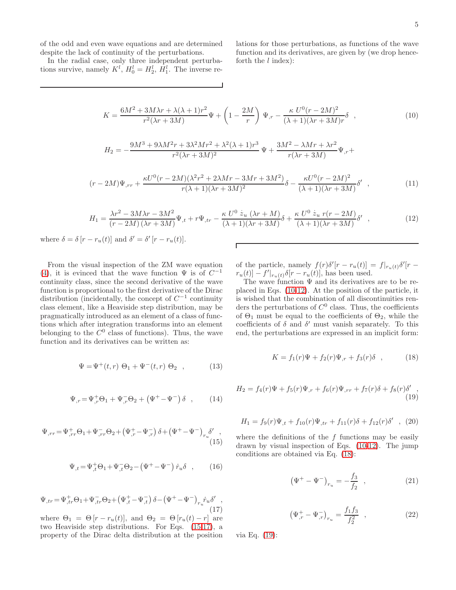of the odd and even wave equations and are determined despite the lack of continuity of the perturbations.

In the radial case, only three independent perturbations survive, namely  $K^l$ ,  $H_0^l = H_2^l$ ,  $H_1^l$ . The inverse relations for those perturbations, as functions of the wave function and its derivatives, are given by (we drop henceforth the  $l$  index):

<span id="page-4-2"></span>
$$
K = \frac{6M^2 + 3M\lambda r + \lambda(\lambda + 1)r^2}{r^2(\lambda r + 3M)}\Psi + \left(1 - \frac{2M}{r}\right)\Psi_{,r} - \frac{\kappa U^0(r - 2M)^2}{(\lambda + 1)(\lambda r + 3M)r}\delta \quad , \tag{10}
$$

$$
H_2=-\frac{9M^3+9\lambda M^2r+3\lambda^2Mr^2+\lambda^2(\lambda+1)r^3}{r^2(\lambda r+3M)^2}\,\Psi+\frac{3M^2-\lambda Mr+\lambda r^2}{r(\lambda r+3M)}\Psi_{,r}+
$$

$$
(r-2M)\Psi_{,rr} + \frac{\kappa U^0(r-2M)(\lambda^2r^2 + 2\lambda Mr - 3Mr + 3M^2)}{r(\lambda+1)(\lambda r + 3M)^2} \delta - \frac{\kappa U^0(r-2M)^2}{(\lambda+1)(\lambda r + 3M)} \delta' , \qquad (11)
$$

<span id="page-4-3"></span>
$$
H_1 = \frac{\lambda r^2 - 3M\lambda r - 3M^2}{(r - 2M)\left(\lambda r + 3M\right)}\Psi_{,t} + r\Psi_{,tr} - \frac{\kappa U^0 \dot{z}_u \left(\lambda r + M\right)}{(\lambda + 1)(\lambda r + 3M)}\delta + \frac{\kappa U^0 \dot{z}_u \ r(r - 2M)}{(\lambda + 1)(\lambda r + 3M)}\delta' \tag{12}
$$

where  $\delta = \delta [r - r_u(t)]$  and  $\delta' = \delta' [r - r_u(t)]$ .

From the visual inspection of the ZM wave equation [\(4\)](#page-2-0), it is evinced that the wave function  $\Psi$  is of  $C^{-1}$ continuity class, since the second derivative of the wave function is proportional to the first derivative of the Dirac distribution (incidentally, the concept of  $C^{-1}$  continuity class element, like a Heaviside step distribution, may be pragmatically introduced as an element of a class of functions which after integration transforms into an element belonging to the  $C^0$  class of functions). Thus, the wave function and its derivatives can be written as:

$$
\Psi = \Psi^+(t, r) \Theta_1 + \Psi^-(t, r) \Theta_2 , \qquad (13)
$$

$$
\Psi_{,r} = \Psi_{,r}^{+} \Theta_1 + \Psi_{,r}^{-} \Theta_2 + \left(\Psi^{+} - \Psi^{-}\right) \delta \quad , \tag{14}
$$

<span id="page-4-0"></span>
$$
\Psi_{,rr} = \Psi_{,rr}^{+} \Theta_1 + \Psi_{,rr}^{-} \Theta_2 + \left(\Psi_{,r}^{+} - \Psi_{,r}^{-}\right) \delta + \left(\Psi^{+} - \Psi^{-}\right)_{r_u} \delta'_{\qquad \qquad (15)
$$

$$
\Psi_{,t} = \Psi_{,t}^{+} \Theta_1 + \Psi_{,t}^{-} \Theta_2 - (\Psi^{+} - \Psi^{-}) \dot{r}_u \delta , \qquad (16)
$$

<span id="page-4-1"></span>
$$
\Psi_{,tr} = \Psi_{,tr}^{+} \Theta_1 + \Psi_{,tr}^{-} \Theta_2 + \left(\Psi_{,t}^{+} - \Psi_{,t}^{-}\right) \delta - \left(\Psi^{+} - \Psi^{-}\right)_{r_u} \dot{r}_u \delta' \tag{17}
$$

where  $\Theta_1 = \Theta[r - r_u(t)]$ , and  $\Theta_2 = \Theta[r_u(t) - r]$  are two Heaviside step distributions. For Eqs. [\(15](#page-4-0)[,17\)](#page-4-1), a property of the Dirac delta distribution at the position of the particle, namely  $f(r)\delta'[r - r_u(t)] = f|_{r_u(t)}\delta'[r$  $r_u(t)$ ] –  $f'|_{r_u(t)} \delta[r - r_u(t)]$ , has been used.

The wave function  $\Psi$  and its derivatives are to be replaced in Eqs. [\(10](#page-4-2)[-12\)](#page-4-3). At the position of the particle, it is wished that the combination of all discontinuities renders the perturbations of  $C^0$  class. Thus, the coefficients of  $\Theta_1$  must be equal to the coefficients of  $\Theta_2$ , while the coefficients of  $\delta$  and  $\delta'$  must vanish separately. To this end, the perturbations are expressed in an implicit form:

<span id="page-4-4"></span>
$$
K = f_1(r)\Psi + f_2(r)\Psi_{,r} + f_3(r)\delta \quad , \tag{18}
$$

<span id="page-4-5"></span>
$$
H_2 = f_4(r)\Psi + f_5(r)\Psi_{,r} + f_6(r)\Psi_{,rr} + f_7(r)\delta + f_8(r)\delta',
$$
\n(19)

<span id="page-4-6"></span>
$$
H_1 = f_9(r)\Psi_{,t} + f_{10}(r)\Psi_{,tr} + f_{11}(r)\delta + f_{12}(r)\delta'
$$
, (20)

where the definitions of the  $f$  functions may be easily drawn by visual inspection of Eqs. [\(10-](#page-4-2)[12\)](#page-4-3). The jump conditions are obtained via Eq. [\(18\)](#page-4-4):

<span id="page-4-7"></span>
$$
\left(\Psi^{+} - \Psi^{-}\right)_{r_u} = -\frac{f_3}{f_2} \quad , \tag{21}
$$

<span id="page-4-8"></span>
$$
\left(\Psi_{,r}^{+} - \Psi_{,r}^{-}\right)_{r_u} = \frac{f_1 f_3}{f_2^2} \quad , \tag{22}
$$

via Eq. [\(19\)](#page-4-5):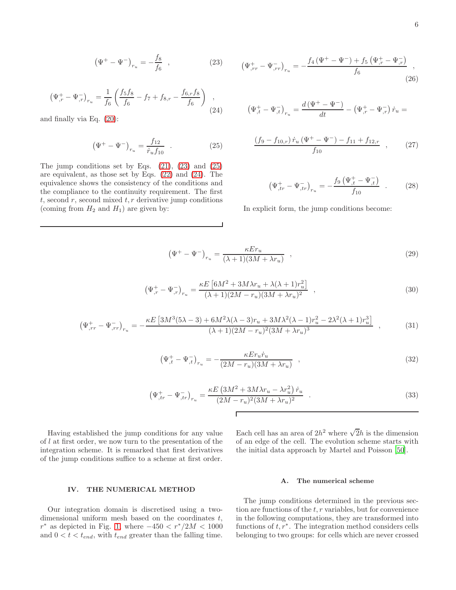<span id="page-5-0"></span>
$$
\left(\Psi^{+} - \Psi^{-}\right)_{r_u} = -\frac{f_8}{f_6} \quad , \tag{23}
$$

<span id="page-5-2"></span>
$$
\left(\Psi_{,r}^{+} - \Psi_{,r}^{-}\right)_{r_u} = \frac{1}{f_6} \left(\frac{f_5 f_8}{f_6} - f_7 + f_{8,r} - \frac{f_{6,r} f_8}{f_6}\right) ,\tag{24}
$$

and finally via Eq. [\(20\)](#page-4-6):

<span id="page-5-1"></span>
$$
\left(\Psi^{+} - \Psi^{-}\right)_{r_u} = \frac{f_{12}}{\dot{r}_u f_{10}} \quad . \tag{25}
$$

The jump conditions set by Eqs.  $(21)$ ,  $(23)$  and  $(25)$ are equivalent, as those set by Eqs. [\(22\)](#page-4-8) and [\(24\)](#page-5-2). The equivalence shows the consistency of the conditions and the compliance to the continuity requirement. The first  $t$ , second  $r$ , second mixed  $t$ ,  $r$  derivative jump conditions (coming from  $H_2$  and  $H_1$ ) are given by:

$$
\left(\Psi_{,rr}^{+} - \Psi_{,rr}^{-}\right)_{r_u} = -\frac{f_4\left(\Psi^{+} - \Psi^{-}\right) + f_5\left(\Psi_{,r}^{+} - \Psi_{,r}^{-}\right)}{f_6},\tag{26}
$$

$$
\left(\Psi^+_{,t}-\Psi^-_{,t}\right)_{r_u}=\frac{d\left(\Psi^+-\Psi^-\right)}{dt}-\left(\Psi^+_{,r}-\Psi^-_{,r}\right)\dot{r}_u=
$$

$$
\frac{(f_9 - f_{10,r}) \dot{r}_u (\Psi^+ - \Psi^-) - f_{11} + f_{12,r}}{f_{10}} \quad , \tag{27}
$$

$$
\left(\Psi_{,tr}^{+} - \Psi_{,tr}^{-}\right)_{r_u} = -\frac{f_9\left(\Psi_{,t}^{+} - \Psi_{,t}^{-}\right)}{f_{10}} \quad . \tag{28}
$$

In explicit form, the jump conditions become:

<span id="page-5-3"></span>
$$
\left(\Psi^{+} - \Psi^{-}\right)_{r_u} = \frac{\kappa E r_u}{\left(\lambda + 1\right)\left(3M + \lambda r_u\right)} \quad , \tag{29}
$$

$$
\left(\Psi_{,r}^{+} - \Psi_{,r}^{-}\right)_{r_u} = \frac{\kappa E\left[6M^2 + 3M\lambda r_u + \lambda(\lambda + 1)r_u^2\right]}{(\lambda + 1)(2M - r_u)(3M + \lambda r_u)^2} \quad , \tag{30}
$$

$$
\left(\Psi_{,rr}^{+} - \Psi_{,rr}^{-}\right)_{r_u} = -\frac{\kappa E \left[3M^3(5\lambda - 3) + 6M^2\lambda(\lambda - 3)r_u + 3M\lambda^2(\lambda - 1)r_u^2 - 2\lambda^2(\lambda + 1)r_u^3\right]}{(\lambda + 1)(2M - r_u)^2(3M + \lambda r_u)^3} ,\tag{31}
$$

Г

 $\overline{1}$ 

$$
\left(\Psi_{,t}^{+} - \Psi_{,t}^{-}\right)_{r_u} = -\frac{\kappa E r_u \dot{r}_u}{(2M - r_u)(3M + \lambda r_u)} \quad , \tag{32}
$$

$$
\left(\Psi_{,tr}^{+} - \Psi_{,tr}^{-}\right)_{r_u} = \frac{\kappa E \left(3M^2 + 3M\lambda r_u - \lambda r_u^2\right) \dot{r}_u}{(2M - r_u)^2 (3M + \lambda r_u)^2} \tag{33}
$$

Having established the jump conditions for any value of l at first order, we now turn to the presentation of the integration scheme. It is remarked that first derivatives of the jump conditions suffice to a scheme at first order.

Each cell has an area of  $2h^2$  where  $\sqrt{2}h$  is the dimension of an edge of the cell. The evolution scheme starts with the initial data approach by Martel and Poisson [\[50\]](#page-11-22).

#### A. The numerical scheme

# IV. THE NUMERICAL METHOD

Our integration domain is discretised using a twodimensional uniform mesh based on the coordinates  $t$ ,  $r^*$  as depicted in Fig. [1,](#page-6-0) where  $-450 < r^*/2M < 1000$ and  $0 < t < t_{end}$ , with  $t_{end}$  greater than the falling time.

The jump conditions determined in the previous section are functions of the  $t, r$  variables, but for convenience in the following computations, they are transformed into functions of  $t, r^*$ . The integration method considers cells belonging to two groups: for cells which are never crossed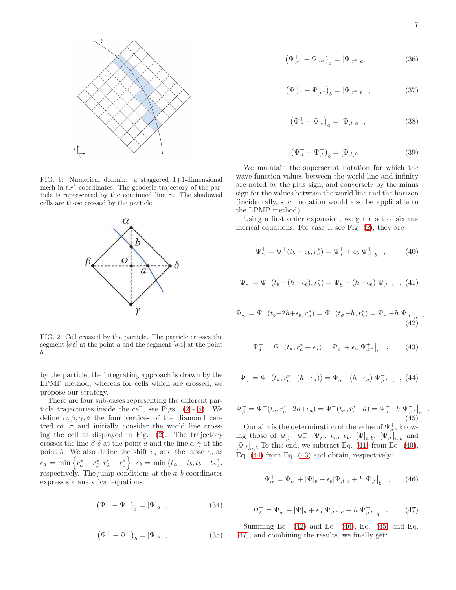

<span id="page-6-0"></span>FIG. 1: Numerical domain: a staggered 1+1-dimensional mesh in  $t,r^*$  coordinates. The geodesic trajectory of the particle is represented by the continued line  $\gamma$ . The shadowed cells are those crossed by the particle.



<span id="page-6-1"></span>FIG. 2: Cell crossed by the particle. The particle crosses the segment  $\lbrack \sigma \delta \rbrack$  at the point a and the segment  $\lbrack \sigma \alpha \rbrack$  at the point b.

by the particle, the integrating approach is drawn by the LPMP method, whereas for cells which are crossed, we propose our strategy.

There are four sub-cases representing the different particle trajectories inside the cell, see Figs. [\(2](#page-6-1) - [5\)](#page-8-0). We define  $\alpha, \beta, \gamma, \delta$  the four vertices of the diamond centred on  $\sigma$  and initially consider the world line crossing the cell as displayed in Fig. [\(2\)](#page-6-1). The trajectory crosses the line  $\beta$ -δ at the point a and the line  $\alpha$ - $\gamma$  at the point b. We also define the shift  $\epsilon_a$  and the lapse  $\epsilon_b$  as  $\epsilon_a\,=\,\min\Big\{r^*_a-r^*_\beta$  $\Big\{ \partial_{\beta},r_{\delta}^*-r_a^* \Big\},\ \epsilon_b\ =\ \min\big\{ t_{\alpha}-t_b,t_b-t_{\gamma}\big\},$ respectively. The jump conditions at the  $a, b$  coordinates express six analytical equations:

$$
\left(\Psi^{+} - \Psi^{-}\right)_{a} = [\Psi]_{a} \quad , \tag{34}
$$

$$
\left(\Psi^{+}-\Psi^{-}\right)_{b}=[\Psi]_{b} , \qquad (35)
$$

$$
\left(\Psi_{,r^{*}}^{+} - \Psi_{,r^{*}}^{-}\right)_{b} = [\Psi_{,r^{*}}]_{b} , \qquad (37)
$$

$$
\left(\Psi_{,t}^{+} - \Psi_{,t}^{-}\right)_{a} = [\Psi_{,t}]_{a} , \qquad (38)
$$

$$
\left(\Psi_{,t}^{+} - \Psi_{,t}^{-}\right)_{b} = [\Psi_{,t}]_{b} \quad . \tag{39}
$$

We maintain the superscript notation for which the wave function values between the world line and infinity are noted by the plus sign, and conversely by the minus sign for the values between the world line and the horizon (incidentally, such notation would also be applicable to the LPMP method).

Using a first order expansion, we get a set of six numerical equations. For case 1, see Fig. [\(2\)](#page-6-1), they are:

<span id="page-6-3"></span>
$$
\Psi_{\alpha}^{+} = \Psi^{+}(t_{b} + \epsilon_{b}, r_{b}^{*}) = \Psi_{b}^{+} + \epsilon_{b} \Psi_{,t}^{+}\big|_{b} , \qquad (40)
$$

<span id="page-6-2"></span>
$$
\Psi_{\sigma}^{-} = \Psi^{-}(t_{b} - (h - \epsilon_{b}), r_{b}^{*}) = \Psi_{b}^{-} - (h - \epsilon_{b}) \Psi_{,t}^{-} \big|_{b} , (41)
$$

<span id="page-6-6"></span>
$$
\Psi_{\gamma}^{-} = \Psi^{-}(t_b - 2h + \epsilon_b, r_b^{*}) = \Psi^{-}(t_{\sigma} - h, r_b^{*}) = \Psi_{\sigma}^{-} - h \Psi_{,t}^{-} \Big|_{\sigma} ,
$$
\n(42)

<span id="page-6-5"></span>
$$
\Psi_{\delta}^{+} = \Psi^{+}(t_{a}, r_{a}^{*} + \epsilon_{a}) = \Psi_{a}^{+} + \epsilon_{a} \Psi_{,r^{*}}^{+}\big|_{a} , \qquad (43)
$$

<span id="page-6-4"></span>
$$
\Psi_{\sigma}^{-} = \Psi^{-}(t_{a}, r_{a}^{*} - (h - \epsilon_{a})) = \Psi_{a}^{-} - (h - \epsilon_{a}) \Psi_{,r^{*}}^{-} \big|_{a} , (44)
$$

<span id="page-6-8"></span>
$$
\Psi_{\beta}^{-} = \Psi^{-}(t_{a}, r_{a}^{*} - 2h + \epsilon_{a}) = \Psi^{-}(t_{\sigma}, r_{\sigma}^{*} - h) = \Psi_{\sigma}^{-} - h \Psi_{,r^{*}}^{-} \big|_{\sigma}
$$
\n(45)

Our aim is the determination of the value of  $\Psi^+_{\alpha}$ , knowing those of  $\Psi_{\beta}^-$ ,  $\Psi_{\gamma}^+$ ,  $\Psi_{\delta}^+$ ,  $\epsilon_a$ ,  $\epsilon_b$ ,  $[\Psi]_{a,b}$ ,  $[\Psi_{,r}]_{a,b}$  and  $[\Psi_{,t}]_{a,b}$  To this end, we subtract Eq. [\(41\)](#page-6-2) from Eq. [\(40\)](#page-6-3), Eq. [\(44\)](#page-6-4) from Eq. [\(43\)](#page-6-5) and obtain, respectively:

<span id="page-6-7"></span>
$$
\Psi_{\alpha}^{+} = \Psi_{\sigma}^{-} + [\Psi]_{b} + \epsilon_{b} [\Psi_{,t}]_{b} + h \Psi_{,t}^{-} \big|_{b} , \qquad (46)
$$

<span id="page-6-9"></span>
$$
\Psi_{\delta}^{+} = \Psi_{\sigma}^{-} + [\Psi]_{a} + \epsilon_{a} [\Psi_{,r^{*}}]_{a} + h \Psi_{,r^{*}}^{-} \Big|_{a} \quad . \tag{47}
$$

Summing Eq. [\(42\)](#page-6-6) and Eq. [\(46\)](#page-6-7), Eq. [\(45\)](#page-6-8) and Eq. [\(47\)](#page-6-9), and combining the results, we finally get:

.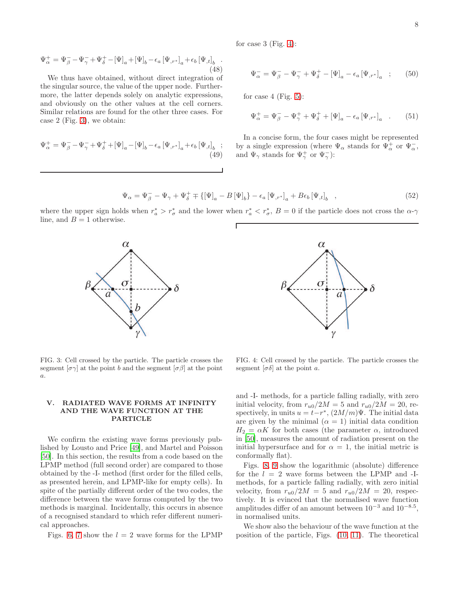for case 3 (Fig. [4\)](#page-7-1):

$$
\Psi_{\alpha}^{+} = \Psi_{\beta}^{-} - \Psi_{\gamma}^{-} + \Psi_{\delta}^{+} - [\Psi]_{a} + [\Psi]_{b} - \epsilon_{a} [\Psi_{,r^{*}}]_{a} + \epsilon_{b} [\Psi_{,t}]_{b}.
$$
\n(48)

We thus have obtained, without direct integration of the singular source, the value of the upper node. Furthermore, the latter depends solely on analytic expressions, and obviously on the other values at the cell corners. Similar relations are found for the other three cases. For case 2 (Fig. [3\)](#page-7-0), we obtain:

$$
\Psi_{\alpha}^{+} = \Psi_{\beta}^{-} - \Psi_{\gamma}^{-} + \Psi_{\delta}^{+} + [\Psi]_{a} - [\Psi]_{b} - \epsilon_{a} [\Psi_{,r^{*}}]_{a} + \epsilon_{b} [\Psi_{,t}]_{b} ; \tag{49}
$$

$$
\Psi_{\alpha}^{-} = \Psi_{\beta}^{-} - \Psi_{\gamma}^{-} + \Psi_{\delta}^{+} - [\Psi]_{a} - \epsilon_{a} [\Psi_{,r^{*}}]_{a} ; \qquad (50)
$$

for case 4 (Fig.  $5$ ):

$$
\Psi^+_{\alpha} = \Psi^-_{\beta} - \Psi^+_{\gamma} + \Psi^+_{\delta} + [\Psi]_a - \epsilon_a [\Psi_{,r^*}]_a \quad . \tag{51}
$$

In a concise form, the four cases might be represented by a single expression (where  $\Psi_{\alpha}$  stands for  $\Psi_{\alpha}^{+}$  or  $\Psi_{\alpha}^{-}$ , and  $\Psi_{\gamma}$  stands for  $\Psi_{\gamma}^{+}$  or  $\Psi_{\gamma}^{-}$ ):

$$
\Psi_{\alpha} = \Psi_{\beta} - \Psi_{\gamma} + \Psi_{\delta}^{+} \mp \{ [\Psi]_{a} - B [\Psi]_{b} \} - \epsilon_{a} [\Psi_{,r^{*}}]_{a} + B \epsilon_{b} [\Psi_{,t}]_{b} , \qquad (52)
$$

where the upper sign holds when  $r_a^* > r_\sigma^*$  and the lower when  $r_a^* < r_\sigma^*$ ,  $B = 0$  if the particle does not cross the  $\alpha$ - $\gamma$ line, and  $B = 1$  otherwise.

<span id="page-7-0"></span>

#### V. RADIATED WAVE FORMS AT INFINITY AND THE WAVE FUNCTION AT THE PARTICLE

We confirm the existing wave forms previously published by Lousto and Price [\[49\]](#page-11-21), and Martel and Poisson [\[50\]](#page-11-22). In this section, the results from a code based on the LPMP method (full second order) are compared to those obtained by the -I- method (first order for the filled cells, as presented herein, and LPMP-like for empty cells). In spite of the partially different order of the two codes, the difference between the wave forms computed by the two methods is marginal. Incidentally, this occurs in absence of a recognised standard to which refer different numerical approaches.

Figs. [6,](#page-8-1) [7](#page-8-2) show the  $l = 2$  wave forms for the LPMP

 $\gamma$ FIG. 4: Cell crossed by the particle. The particle crosses the

 $\mathfrak a$ 

 $\alpha$ 

 $\sigma$ 

<span id="page-7-1"></span>segment  $[\sigma \delta]$  at the point a.

and -I- methods, for a particle falling radially, with zero initial velocity, from  $r_{u0}/2M = 5$  and  $r_{u0}/2M = 20$ , respectively, in units  $u = t-r^*$ ,  $(2M/m)\Psi$ . The initial data are given by the minimal  $(\alpha = 1)$  initial data condition  $H_2 = \alpha K$  for both cases (the parameter  $\alpha$ , introduced in [\[50](#page-11-22)], measures the amount of radiation present on the initial hypersurface and for  $\alpha = 1$ , the initial metric is conformally flat).

Figs. [8,](#page-8-3) [9](#page-9-0) show the logarithmic (absolute) difference for the  $l = 2$  wave forms between the LPMP and -Imethods, for a particle falling radially, with zero initial velocity, from  $r_{u0}/2M = 5$  and  $r_{u0}/2M = 20$ , respectively. It is evinced that the normalised wave function amplitudes differ of an amount between  $10^{-3}$  and  $10^{-8.5}$ , in normalised units.

We show also the behaviour of the wave function at the position of the particle, Figs. [\(10,](#page-9-1) [11\)](#page-9-2). The theoretical

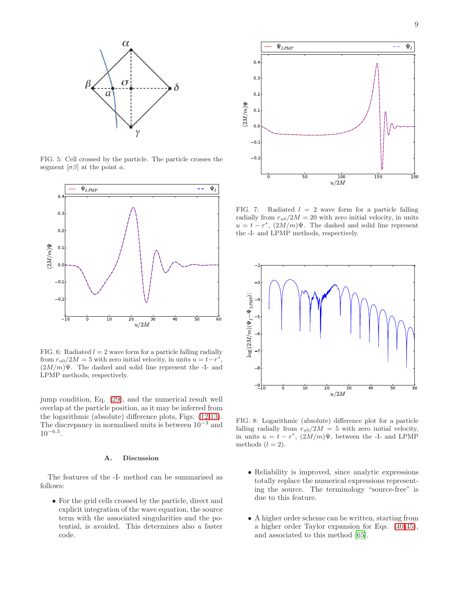

<span id="page-8-0"></span>FIG. 5: Cell crossed by the particle. The particle crosses the segment  $[\sigma \beta]$  at the point *a*.



<span id="page-8-1"></span>FIG. 6: Radiated  $l = 2$  wave form for a particle falling radially from  $r_{u0}/2M = 5$  with zero initial velocity, in units  $u = t - r^*$ ,  $(2M/m)\Psi$ . The dashed and solid line represent the -I- and LPMP methods, respectively.

jump condition, Eq. [\(29\)](#page-5-3), and the numerical result well overlap at the particle position, as it may be inferred from the logarithmic (absolute) difference plots, Figs. [\(12](#page-9-3)[,13\)](#page-10-14). The discrepancy in normalised units is between  $10^{-3}$  and  $10^{-6.5}$ .

## A. Discussion

The features of the -I- method can be summarised as follows:

• For the grid cells crossed by the particle, direct and explicit integration of the wave equation, the source term with the associated singularities and the potential, is avoided. This determines also a faster code.



<span id="page-8-2"></span>FIG. 7: Radiated  $l = 2$  wave form for a particle falling radially from  $r_{u0}/2M = 20$  with zero initial velocity, in units  $u = t - r^*$ ,  $(2M/m)\Psi$ . The dashed and solid line represent the -I- and LPMP methods, respectively.



<span id="page-8-3"></span>FIG. 8: Logarithmic (absolute) difference plot for a particle falling radially from  $r_{u0}/2M = 5$  with zero initial velocity, in units  $u = t - r^*$ ,  $(2M/m)\Psi$ , between the -I- and LPMP methods  $(l = 2)$ .

- Reliability is improved, since analytic expressions totally replace the numerical expressions representing the source. The terminology "source-free" is due to this feature.
- A higher order scheme can be written, starting from a higher order Taylor expansion for Eqs. [\(40-](#page-6-3)[45\)](#page-6-8), and associated to this method [\[65](#page-11-36)].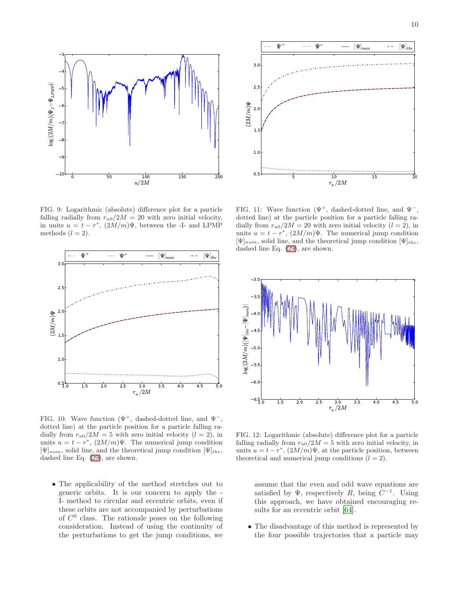$\left[\Psi\right]_{the}$ 



5 10 15 20  $r_u/2M$ 0.5 1.0 1.5 2.0  $2.5$ 3.0  $(2M/m)\Psi$ 

 $\mathbf{\Psi} \quad - \quad - \quad$ 

 $[\Psi]_{r}$ 

 $\bar{\mathbf{U}}$ 

<span id="page-9-0"></span>FIG. 9: Logarithmic (absolute) difference plot for a particle falling radially from  $r_{u0}/2M = 20$  with zero initial velocity, in units  $u = t - r^*$ ,  $(2M/m)\Psi$ , between the -I- and LPMP methods  $(l = 2)$ .



<span id="page-9-1"></span>FIG. 10: Wave function  $(\Psi^+, \text{ dashed-dotted line, and } \Psi^-, \text{)}$ dotted line) at the particle position for a particle falling radially from  $r_{u0}/2M = 5$  with zero initial velocity  $(l = 2)$ , in units  $u = t - r^*$ ,  $(2M/m)\Psi$ . The numerical jump condition  $[\Psi]_{num}$ , solid line, and the theoretical jump condition  $[\Psi]_{the}$ , dashed line Eq. [\(29\)](#page-5-3), are shown.

• The applicability of the method stretches out to generic orbits. It is our concern to apply the - I- method to circular and eccentric orbits, even if these orbits are not accompanied by perturbations of  $C^0$  class. The rationale poses on the following consideration. Instead of using the continuity of the perturbations to get the jump conditions, we

<span id="page-9-2"></span>FIG. 11: Wave function  $(\Psi^+, \text{ dashed-dotted line, and } \Psi^-, \text{)}$ dotted line) at the particle position for a particle falling radially from  $r_{u0}/2M = 20$  with zero initial velocity  $(l = 2)$ , in units  $u = t - r^*$ ,  $(2M/m)\Psi$ . The numerical jump condition  $[\Psi]_{num}$ , solid line, and the theoretical jump condition  $[\Psi]_{the}$ , dashed line Eq. [\(29\)](#page-5-3), are shown.



<span id="page-9-3"></span>FIG. 12: Logarithmic (absolute) difference plot for a particle falling radially from  $r_{u0}/2M = 5$  with zero initial velocity, in units  $u = t - r^*$ ,  $(2M/m)\Psi$ , at the particle position, between theoretical and numerical jump conditions  $(l = 2)$ .

assume that the even and odd wave equations are satisfied by  $\Psi$ , respectively R, being  $C^{-1}$ . Using this approach, we have obtained encouraging results for an eccentric orbit [\[64\]](#page-11-35).

• The disadvantage of this method is represented by the four possible trajectories that a particle may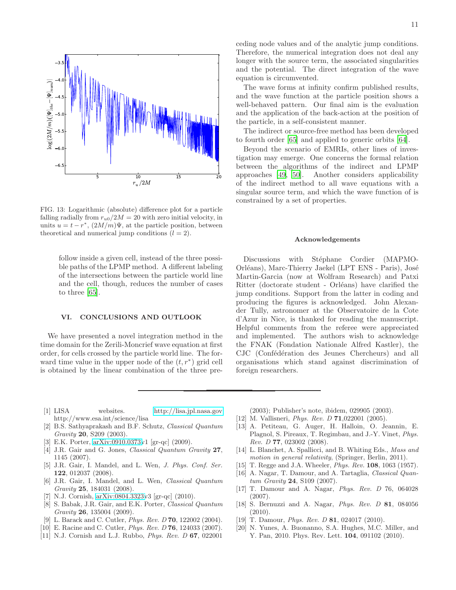

<span id="page-10-14"></span>FIG. 13: Logarithmic (absolute) difference plot for a particle falling radially from  $r_{u0}/2M = 20$  with zero initial velocity, in units  $u = t - r^*$ ,  $(2M/m)\Psi$ , at the particle position, between theoretical and numerical jump conditions  $(l = 2)$ .

follow inside a given cell, instead of the three possible paths of the LPMP method. A different labeling of the intersections between the particle world line and the cell, though, reduces the number of cases to three [\[65](#page-11-36)].

### VI. CONCLUSIONS AND OUTLOOK

We have presented a novel integration method in the time domain for the Zerili-Moncrief wave equation at first order, for cells crossed by the particle world line. The forward time value in the upper node of the  $(t, r^*)$  grid cell is obtained by the linear combination of the three pre-

The wave forms at infinity confirm published results, and the wave function at the particle position shows a well-behaved pattern. Our final aim is the evaluation and the application of the back-action at the position of the particle, in a self-consistent manner.

The indirect or source-free method has been developed to fourth order [\[65](#page-11-36)] and applied to generic orbits [\[64\]](#page-11-35).

Beyond the scenario of EMRIs, other lines of investigation may emerge. One concerns the formal relation between the algorithms of the indirect and LPMP approaches [\[49,](#page-11-21) [50\]](#page-11-22). Another considers applicability of the indirect method to all wave equations with a singular source term, and which the wave function of is constrained by a set of properties.

#### Acknowledgements

Discussions with Stéphane Cordier (MAPMO-Orléans), Marc-Thierry Jaekel (LPT ENS - Paris), José Martin-Garcia (now at Wolfram Research) and Patxi Ritter (doctorate student - Orléans) have clarified the jump conditions. Support from the latter in coding and producing the figures is acknowledged. John Alexander Tully, astronomer at the Observatoire de la Cote d'Azur in Nice, is thanked for reading the manuscript. Helpful comments from the referee were appreciated and implemented. The authors wish to acknowledge the FNAK (Fondation Nationale Alfred Kastler), the CJC (Confédération des Jeunes Chercheurs) and all organisations which stand against discrimination of foreign researchers.

- <span id="page-10-0"></span>[1] LISA websites.<http://lisa.jpl.nasa.gov> http://www.esa.int/science/lisa
- <span id="page-10-1"></span>[2] B.S. Sathyaprakash and B.F. Schutz, *Classical Quantum Gravity* 20, S209 (2003).
- <span id="page-10-2"></span>[3] E.K. Porter, [arXiv:0910.0373v](http://arxiv.org/abs/0910.0373)1 [gr-qc] (2009).
- <span id="page-10-3"></span>[4] J.R. Gair and G. Jones, *Classical Quantum Gravity* 27, 1145 (2007).
- [5] J.R. Gair, I. Mandel, and L. Wen, *J. Phys. Conf. Ser.* 122, 012037 (2008).
- [6] J.R. Gair, I. Mandel, and L. Wen, *Classical Quantum Gravity* 25, 184031 (2008).
- [7] N.J. Cornish, [arXiv:0804.3323v](http://arxiv.org/abs/0804.3323)3 [gr-qc] (2010).
- <span id="page-10-4"></span>[8] S. Babak, J.R. Gair, and E.K. Porter, *Classical Quantum Gravity* 26, 135004 (2009).
- <span id="page-10-5"></span>[9] L. Barack and C. Cutler, *Phys. Rev. D* 70, 122002 (2004).
- <span id="page-10-6"></span>[10] E. Racine and C. Cutler, *Phys. Rev. D* 76, 124033 (2007).
- <span id="page-10-7"></span>[11] N.J. Cornish and L.J. Rubbo, *Phys. Rev. D* 67, 022001

(2003); Publisher's note, ibidem, 029905 (2003).

- [12] M. Vallisneri, *Phys. Rev. D* 71,022001 (2005).
- <span id="page-10-8"></span>[13] A. Petiteau, G. Auger, H. Halloin, O. Jeannin, E. Plagnol, S. Pireaux, T. Regimbau, and J.-Y. Vinet, *Phys. Rev. D* 77, 023002 (2008).
- <span id="page-10-9"></span>[14] L. Blanchet, A. Spallicci, and B. Whiting Eds., *Mass and motion in general relativity*, (Springer, Berlin, 2011).
- <span id="page-10-10"></span>[15] T. Regge and J.A. Wheeler, *Phys. Rev.* 108, 1063 (1957).
- <span id="page-10-11"></span>[16] A. Nagar, T. Damour, and A. Tartaglia, *Classical Quantum Gravity* 24, S109 (2007).
- [17] T. Damour and A. Nagar, *Phys. Rev. D* 76, 064028 (2007).
- [18] S. Bernuzzi and A. Nagar, *Phys. Rev. D* 81, 084056  $(2010).$
- <span id="page-10-12"></span>[19] T. Damour, *Phys. Rev. D* 81, 024017 (2010).
- <span id="page-10-13"></span>N. Yunes, A. Buonanno, S.A. Hughes, M.C. Miller, and Y. Pan, 2010. Phys. Rev. Lett. 104, 091102 (2010).